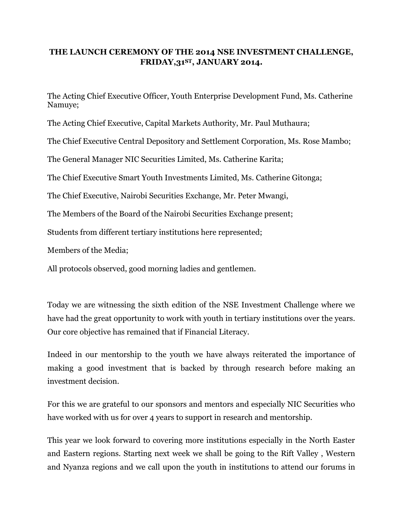## **THE LAUNCH CEREMONY OF THE 2014 NSE INVESTMENT CHALLENGE, FRIDAY,31ST, JANUARY 2014.**

The Acting Chief Executive Officer, Youth Enterprise Development Fund, Ms. Catherine Namuye;

The Acting Chief Executive, Capital Markets Authority, Mr. Paul Muthaura;

The Chief Executive Central Depository and Settlement Corporation, Ms. Rose Mambo;

The General Manager NIC Securities Limited, Ms. Catherine Karita;

The Chief Executive Smart Youth Investments Limited, Ms. Catherine Gitonga;

The Chief Executive, Nairobi Securities Exchange, Mr. Peter Mwangi,

The Members of the Board of the Nairobi Securities Exchange present;

Students from different tertiary institutions here represented;

Members of the Media;

All protocols observed, good morning ladies and gentlemen.

Today we are witnessing the sixth edition of the NSE Investment Challenge where we have had the great opportunity to work with youth in tertiary institutions over the years. Our core objective has remained that if Financial Literacy.

Indeed in our mentorship to the youth we have always reiterated the importance of making a good investment that is backed by through research before making an investment decision.

For this we are grateful to our sponsors and mentors and especially NIC Securities who have worked with us for over 4 years to support in research and mentorship.

This year we look forward to covering more institutions especially in the North Easter and Eastern regions. Starting next week we shall be going to the Rift Valley , Western and Nyanza regions and we call upon the youth in institutions to attend our forums in